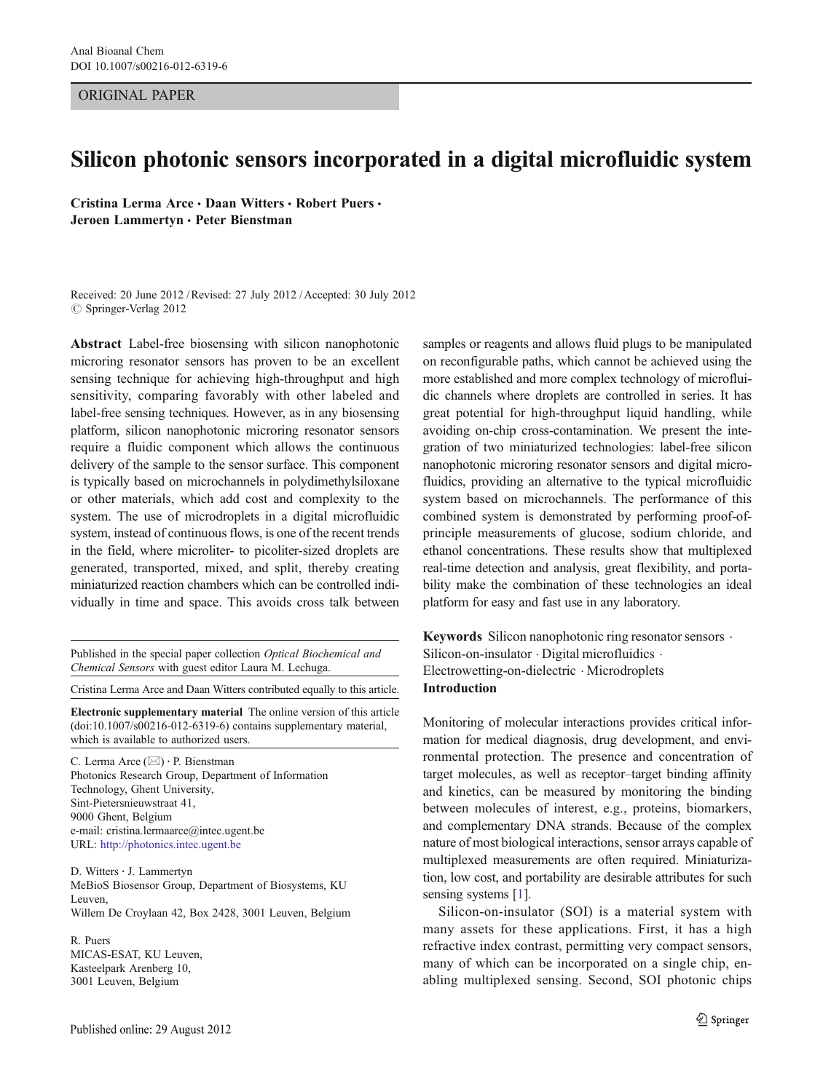ORIGINAL PAPER

# Silicon photonic sensors incorporated in a digital microfluidic system

Cristina Lerma Arce · Daan Witters · Robert Puers · Jeroen Lammertyn · Peter Bienstman

Received: 20 June 2012 /Revised: 27 July 2012 /Accepted: 30 July 2012  $\oslash$  Springer-Verlag 2012

Abstract Label-free biosensing with silicon nanophotonic microring resonator sensors has proven to be an excellent sensing technique for achieving high-throughput and high sensitivity, comparing favorably with other labeled and label-free sensing techniques. However, as in any biosensing platform, silicon nanophotonic microring resonator sensors require a fluidic component which allows the continuous delivery of the sample to the sensor surface. This component is typically based on microchannels in polydimethylsiloxane or other materials, which add cost and complexity to the system. The use of microdroplets in a digital microfluidic system, instead of continuous flows, is one of the recent trends in the field, where microliter- to picoliter-sized droplets are generated, transported, mixed, and split, thereby creating miniaturized reaction chambers which can be controlled individually in time and space. This avoids cross talk between

Published in the special paper collection Optical Biochemical and Chemical Sensors with guest editor Laura M. Lechuga.

Cristina Lerma Arce and Daan Witters contributed equally to this article.

Electronic supplementary material The online version of this article (doi:[10.1007/s00216-012-6319-6](http://dx.doi.org/10.1007/s00216-012-6319-6)) contains supplementary material, which is available to authorized users.

C. Lerma Arce  $(\boxtimes)$  · P. Bienstman Photonics Research Group, Department of Information Technology, Ghent University, Sint-Pietersnieuwstraat 41, 9000 Ghent, Belgium e-mail: cristina.lermaarce@intec.ugent.be URL: http://photonics.intec.ugent.be

D. Witters · J. Lammertyn MeBioS Biosensor Group, Department of Biosystems, KU Leuven, Willem De Croylaan 42, Box 2428, 3001 Leuven, Belgium

R. Puers MICAS-ESAT, KU Leuven, Kasteelpark Arenberg 10, 3001 Leuven, Belgium

Published online: 29 August 2012

samples or reagents and allows fluid plugs to be manipulated on reconfigurable paths, which cannot be achieved using the more established and more complex technology of microfluidic channels where droplets are controlled in series. It has great potential for high-throughput liquid handling, while avoiding on-chip cross-contamination. We present the integration of two miniaturized technologies: label-free silicon nanophotonic microring resonator sensors and digital microfluidics, providing an alternative to the typical microfluidic system based on microchannels. The performance of this combined system is demonstrated by performing proof-ofprinciple measurements of glucose, sodium chloride, and ethanol concentrations. These results show that multiplexed real-time detection and analysis, great flexibility, and portability make the combination of these technologies an ideal platform for easy and fast use in any laboratory.

Keywords Silicon nanophotonic ring resonator sensors . Silicon-on-insulator · Digital microfluidics · Electrowetting-on-dielectric . Microdroplets Introduction

Monitoring of molecular interactions provides critical information for medical diagnosis, drug development, and environmental protection. The presence and concentration of target molecules, as well as receptor–target binding affinity and kinetics, can be measured by monitoring the binding between molecules of interest, e.g., proteins, biomarkers, and complementary DNA strands. Because of the complex nature of most biological interactions, sensor arrays capable of multiplexed measurements are often required. Miniaturization, low cost, and portability are desirable attributes for such sensing systems [\[1](#page-7-0)].

Silicon-on-insulator (SOI) is a material system with many assets for these applications. First, it has a high refractive index contrast, permitting very compact sensors, many of which can be incorporated on a single chip, enabling multiplexed sensing. Second, SOI photonic chips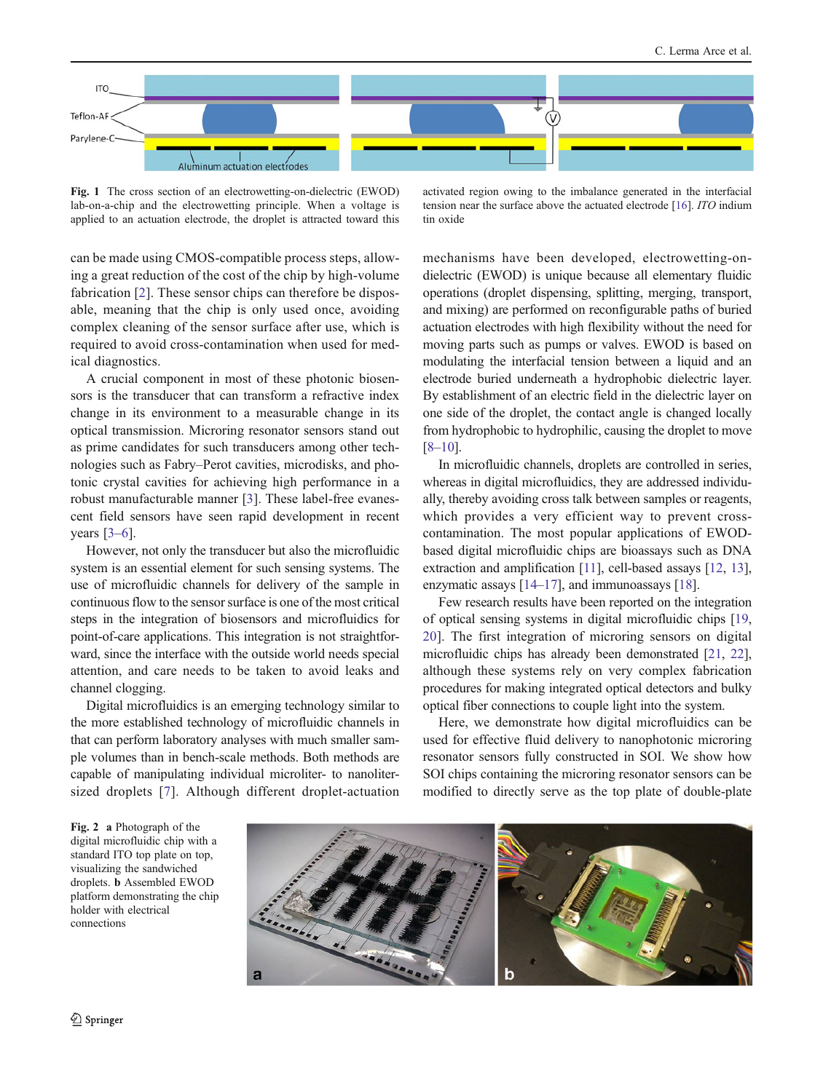<span id="page-1-0"></span>

Fig. 1 The cross section of an electrowetting-on-dielectric (EWOD) lab-on-a-chip and the electrowetting principle. When a voltage is applied to an actuation electrode, the droplet is attracted toward this

activated region owing to the imbalance generated in the interfacial tension near the surface above the actuated electrode [\[16\]](#page-7-0). ITO indium tin oxide

can be made using CMOS-compatible process steps, allowing a great reduction of the cost of the chip by high-volume fabrication [[2\]](#page-7-0). These sensor chips can therefore be disposable, meaning that the chip is only used once, avoiding complex cleaning of the sensor surface after use, which is required to avoid cross-contamination when used for medical diagnostics.

A crucial component in most of these photonic biosensors is the transducer that can transform a refractive index change in its environment to a measurable change in its optical transmission. Microring resonator sensors stand out as prime candidates for such transducers among other technologies such as Fabry–Perot cavities, microdisks, and photonic crystal cavities for achieving high performance in a robust manufacturable manner [[3\]](#page-7-0). These label-free evanescent field sensors have seen rapid development in recent years  $[3-6]$  $[3-6]$  $[3-6]$ .

However, not only the transducer but also the microfluidic system is an essential element for such sensing systems. The use of microfluidic channels for delivery of the sample in continuous flow to the sensor surface is one of the most critical steps in the integration of biosensors and microfluidics for point-of-care applications. This integration is not straightforward, since the interface with the outside world needs special attention, and care needs to be taken to avoid leaks and channel clogging.

Digital microfluidics is an emerging technology similar to the more established technology of microfluidic channels in that can perform laboratory analyses with much smaller sample volumes than in bench-scale methods. Both methods are capable of manipulating individual microliter- to nanolitersized droplets [[7\]](#page-7-0). Although different droplet-actuation mechanisms have been developed, electrowetting-ondielectric (EWOD) is unique because all elementary fluidic operations (droplet dispensing, splitting, merging, transport, and mixing) are performed on reconfigurable paths of buried actuation electrodes with high flexibility without the need for moving parts such as pumps or valves. EWOD is based on modulating the interfacial tension between a liquid and an electrode buried underneath a hydrophobic dielectric layer. By establishment of an electric field in the dielectric layer on one side of the droplet, the contact angle is changed locally from hydrophobic to hydrophilic, causing the droplet to move [\[8](#page-7-0)–[10\]](#page-7-0).

In microfluidic channels, droplets are controlled in series, whereas in digital microfluidics, they are addressed individually, thereby avoiding cross talk between samples or reagents, which provides a very efficient way to prevent crosscontamination. The most popular applications of EWODbased digital microfluidic chips are bioassays such as DNA extraction and amplification [\[11\]](#page-7-0), cell-based assays [[12](#page-7-0), [13\]](#page-7-0), enzymatic assays [\[14](#page-7-0)–[17](#page-7-0)], and immunoassays [\[18](#page-7-0)].

Few research results have been reported on the integration of optical sensing systems in digital microfluidic chips [\[19,](#page-7-0) [20](#page-7-0)]. The first integration of microring sensors on digital microfluidic chips has already been demonstrated [[21](#page-7-0), [22\]](#page-7-0), although these systems rely on very complex fabrication procedures for making integrated optical detectors and bulky optical fiber connections to couple light into the system.

Here, we demonstrate how digital microfluidics can be used for effective fluid delivery to nanophotonic microring resonator sensors fully constructed in SOI. We show how SOI chips containing the microring resonator sensors can be modified to directly serve as the top plate of double-plate

Fig. 2 a Photograph of the digital microfluidic chip with a standard ITO top plate on top, visualizing the sandwiched droplets. b Assembled EWOD platform demonstrating the chip holder with electrical connections

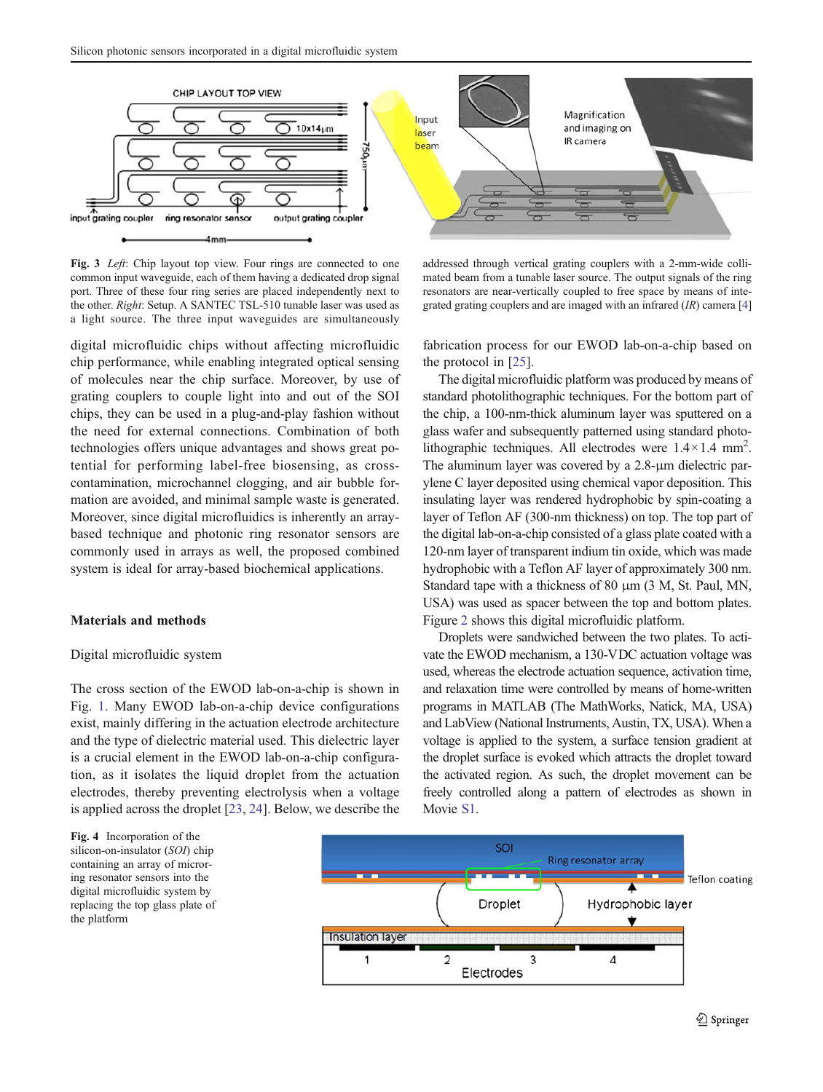<span id="page-2-0"></span>

Fig. 3 Left: Chip layout top view. Four rings are connected to one common input waveguide, each of them having a dedicated drop signal port. Three of these four ring series are placed independently next to the other. Right: Setup. A SANTEC TSL-510 tunable laser was used as a light source. The three input waveguides are simultaneously

digital microfluidic chips without affecting microfluidic chip performance, while enabling integrated optical sensing of molecules near the chip surface. Moreover, by use of grating couplers to couple light into and out of the SOI chips, they can be used in a plug-and-play fashion without the need for external connections. Combination of both technologies offers unique advantages and shows great potential for performing label-free biosensing, as crosscontamination, microchannel clogging, and air bubble formation are avoided, and minimal sample waste is generated. Moreover, since digital microfluidics is inherently an arraybased technique and photonic ring resonator sensors are commonly used in arrays as well, the proposed combined system is ideal for array-based biochemical applications.

### Materials and methods

### Digital microfluidic system

The cross section of the EWOD lab-on-a-chip is shown in Fig. [1](#page-1-0). Many EWOD lab-on-a-chip device configurations exist, mainly differing in the actuation electrode architecture and the type of dielectric material used. This dielectric layer is a crucial element in the EWOD lab-on-a-chip configuration, as it isolates the liquid droplet from the actuation electrodes, thereby preventing electrolysis when a voltage is applied across the droplet [[23,](#page-7-0) [24](#page-7-0)]. Below, we describe the

Fig. 4 Incorporation of the silicon-on-insulator (SOI) chip containing an array of microring resonator sensors into the digital microfluidic system by replacing the top glass plate of the platform

addressed through vertical grating couplers with a 2-mm-wide collimated beam from a tunable laser source. The output signals of the ring resonators are near-vertically coupled to free space by means of integrated grating couplers and are imaged with an infrared (IR) camera [\[4\]](#page-7-0)

fabrication process for our EWOD lab-on-a-chip based on the protocol in [\[25](#page-7-0)].

The digital microfluidic platform was produced by means of standard photolithographic techniques. For the bottom part of the chip, a 100-nm-thick aluminum layer was sputtered on a glass wafer and subsequently patterned using standard photolithographic techniques. All electrodes were  $1.4 \times 1.4$  mm<sup>2</sup>. The aluminum layer was covered by a 2.8-μm dielectric parylene C layer deposited using chemical vapor deposition. This insulating layer was rendered hydrophobic by spin-coating a layer of Teflon AF (300-nm thickness) on top. The top part of the digital lab-on-a-chip consisted of a glass plate coated with a 120-nm layer of transparent indium tin oxide, which was made hydrophobic with a Teflon AF layer of approximately 300 nm. Standard tape with a thickness of 80 μm (3 M, St. Paul, MN, USA) was used as spacer between the top and bottom plates. Figure [2](#page-1-0) shows this digital microfluidic platform.

Droplets were sandwiched between the two plates. To activate the EWOD mechanism, a 130-VDC actuation voltage was used, whereas the electrode actuation sequence, activation time, and relaxation time were controlled by means of home-written programs in MATLAB (The MathWorks, Natick, MA, USA) and LabView (National Instruments, Austin, TX, USA). When a voltage is applied to the system, a surface tension gradient at the droplet surface is evoked which attracts the droplet toward the activated region. As such, the droplet movement can be freely controlled along a pattern of electrodes as shown in Movie S1.

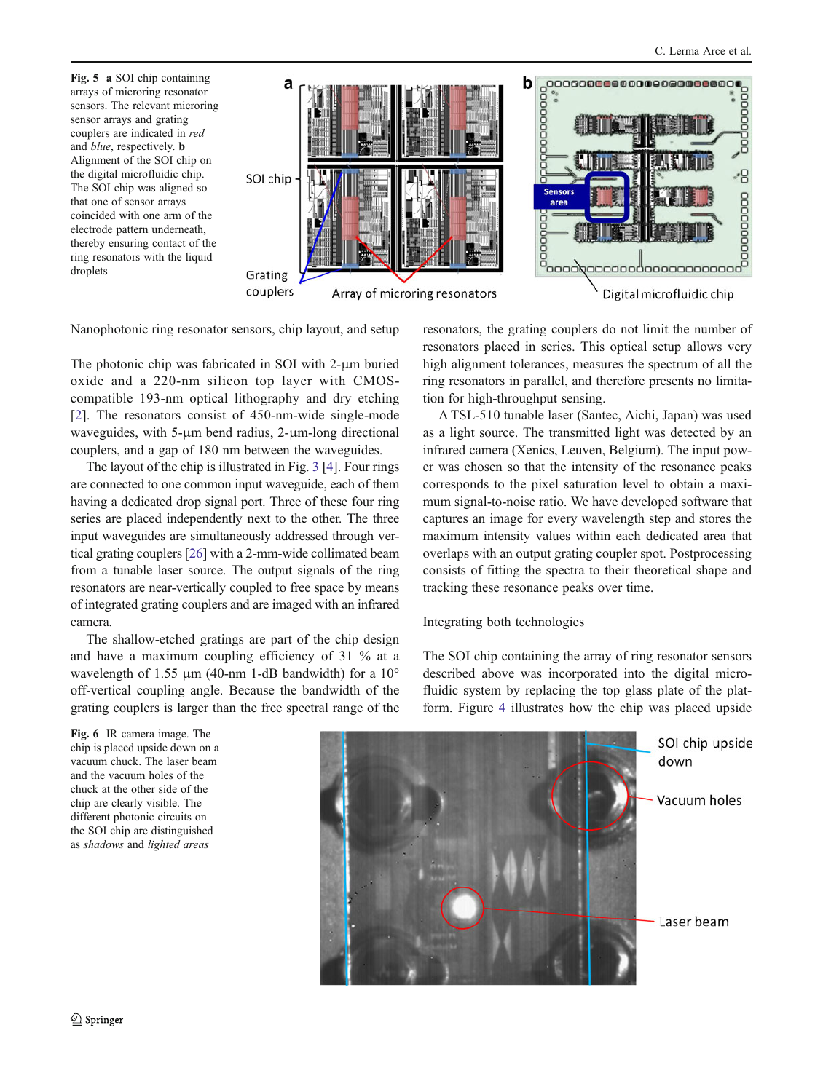<span id="page-3-0"></span>Fig. 5 a SOI chip containing arrays of microring resonator sensors. The relevant microring sensor arrays and grating couplers are indicated in red and blue, respectively. b Alignment of the SOI chip on the digital microfluidic chip. The SOI chip was aligned so that one of sensor arrays coincided with one arm of the electrode pattern underneath, thereby ensuring contact of the ring resonators with the liquid droplets



Nanophotonic ring resonator sensors, chip layout, and setup

The photonic chip was fabricated in SOI with 2-μm buried oxide and a 220-nm silicon top layer with CMOScompatible 193-nm optical lithography and dry etching [\[2](#page-7-0)]. The resonators consist of 450-nm-wide single-mode waveguides, with 5-um bend radius, 2-um-long directional couplers, and a gap of 180 nm between the waveguides.

The layout of the chip is illustrated in Fig. [3](#page-2-0) [\[4](#page-7-0)]. Four rings are connected to one common input waveguide, each of them having a dedicated drop signal port. Three of these four ring series are placed independently next to the other. The three input waveguides are simultaneously addressed through vertical grating couplers [\[26\]](#page-7-0) with a 2-mm-wide collimated beam from a tunable laser source. The output signals of the ring resonators are near-vertically coupled to free space by means of integrated grating couplers and are imaged with an infrared camera.

The shallow-etched gratings are part of the chip design and have a maximum coupling efficiency of 31 % at a wavelength of 1.55  $\mu$ m (40-nm 1-dB bandwidth) for a 10 $^{\circ}$ off-vertical coupling angle. Because the bandwidth of the grating couplers is larger than the free spectral range of the resonators, the grating couplers do not limit the number of resonators placed in series. This optical setup allows very high alignment tolerances, measures the spectrum of all the ring resonators in parallel, and therefore presents no limitation for high-throughput sensing.

A TSL-510 tunable laser (Santec, Aichi, Japan) was used as a light source. The transmitted light was detected by an infrared camera (Xenics, Leuven, Belgium). The input power was chosen so that the intensity of the resonance peaks corresponds to the pixel saturation level to obtain a maximum signal-to-noise ratio. We have developed software that captures an image for every wavelength step and stores the maximum intensity values within each dedicated area that overlaps with an output grating coupler spot. Postprocessing consists of fitting the spectra to their theoretical shape and tracking these resonance peaks over time.

# Integrating both technologies

The SOI chip containing the array of ring resonator sensors described above was incorporated into the digital microfluidic system by replacing the top glass plate of the platform. Figure [4](#page-2-0) illustrates how the chip was placed upside



Fig. 6 IR camera image. The chip is placed upside down on a vacuum chuck. The laser beam and the vacuum holes of the chuck at the other side of the chip are clearly visible. The different photonic circuits on the SOI chip are distinguished as shadows and lighted areas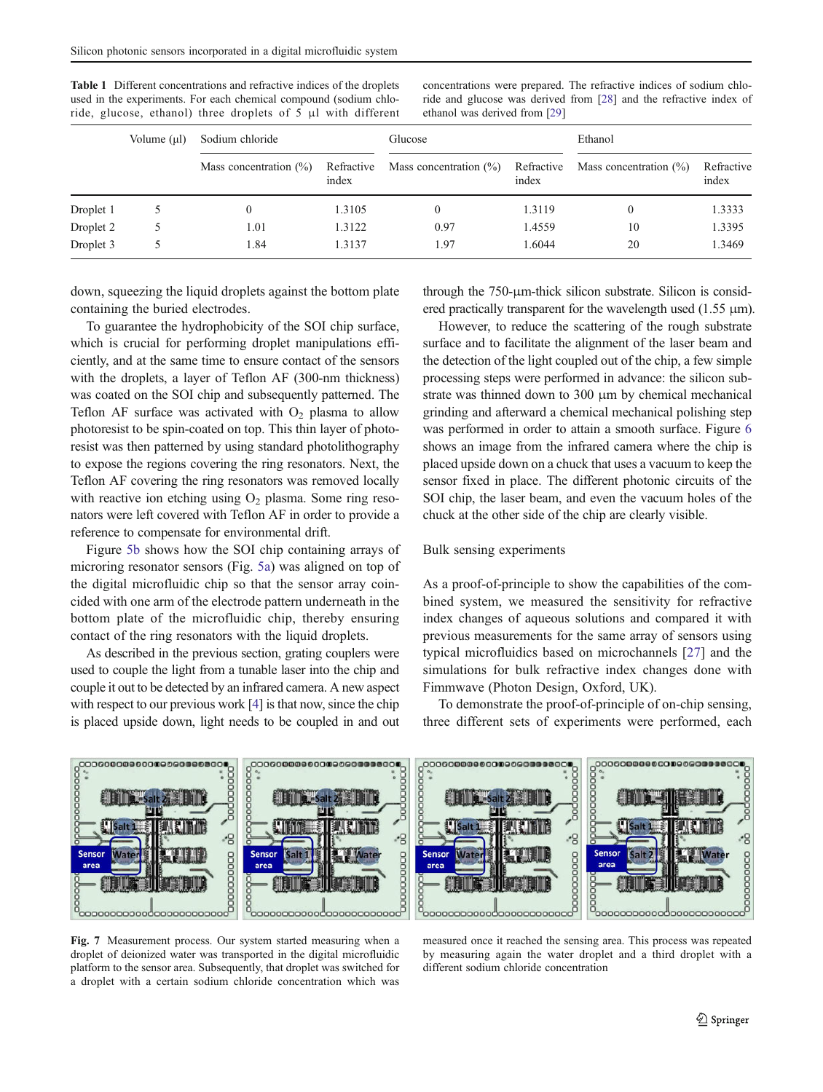<span id="page-4-0"></span>Table 1 Different concentrations and refractive indices of the droplets used in the experiments. For each chemical compound (sodium chloride, glucose, ethanol) three droplets of 5 μl with different

concentrations were prepared. The refractive indices of sodium chloride and glucose was derived from [\[28\]](#page-7-0) and the refractive index of ethanol was derived from [\[29\]](#page-7-0)

|           | Sodium chloride<br>Volume $(\mu\text{l})$ |                            |                     | Glucose                    |                     | Ethanol                    |                     |
|-----------|-------------------------------------------|----------------------------|---------------------|----------------------------|---------------------|----------------------------|---------------------|
|           |                                           | Mass concentration $(\% )$ | Refractive<br>index | Mass concentration $(\% )$ | Refractive<br>index | Mass concentration $(\% )$ | Refractive<br>index |
| Droplet 1 |                                           |                            | 1.3105              |                            | 1.3119              | 0                          | 1.3333              |
| Droplet 2 |                                           | 1.01                       | 1.3122              | 0.97                       | 1.4559              | 10                         | 1.3395              |
| Droplet 3 |                                           | 1.84                       | 1.3137              | 1.97                       | 1.6044              | 20                         | 1.3469              |

down, squeezing the liquid droplets against the bottom plate containing the buried electrodes.

To guarantee the hydrophobicity of the SOI chip surface, which is crucial for performing droplet manipulations efficiently, and at the same time to ensure contact of the sensors with the droplets, a layer of Teflon AF (300-nm thickness) was coated on the SOI chip and subsequently patterned. The Teflon AF surface was activated with  $O<sub>2</sub>$  plasma to allow photoresist to be spin-coated on top. This thin layer of photoresist was then patterned by using standard photolithography to expose the regions covering the ring resonators. Next, the Teflon AF covering the ring resonators was removed locally with reactive ion etching using  $O<sub>2</sub>$  plasma. Some ring resonators were left covered with Teflon AF in order to provide a reference to compensate for environmental drift.

Figure [5b](#page-3-0) shows how the SOI chip containing arrays of microring resonator sensors (Fig. [5a\)](#page-3-0) was aligned on top of the digital microfluidic chip so that the sensor array coincided with one arm of the electrode pattern underneath in the bottom plate of the microfluidic chip, thereby ensuring contact of the ring resonators with the liquid droplets.

As described in the previous section, grating couplers were used to couple the light from a tunable laser into the chip and couple it out to be detected by an infrared camera. A new aspect is placed upside down, light needs to be coupled in and out through the 750-μm-thick silicon substrate. Silicon is considered practically transparent for the wavelength used  $(1.55 \mu m)$ .

However, to reduce the scattering of the rough substrate surface and to facilitate the alignment of the laser beam and the detection of the light coupled out of the chip, a few simple processing steps were performed in advance: the silicon substrate was thinned down to 300 μm by chemical mechanical grinding and afterward a chemical mechanical polishing step was performed in order to attain a smooth surface. Figure [6](#page-3-0) shows an image from the infrared camera where the chip is placed upside down on a chuck that uses a vacuum to keep the sensor fixed in place. The different photonic circuits of the SOI chip, the laser beam, and even the vacuum holes of the chuck at the other side of the chip are clearly visible.

## Bulk sensing experiments

As a proof-of-principle to show the capabilities of the combined system, we measured the sensitivity for refractive index changes of aqueous solutions and compared it with previous measurements for the same array of sensors using typical microfluidics based on microchannels [\[27](#page-7-0)] and the simulations for bulk refractive index changes done with Fimmwave (Photon Design, Oxford, UK).

To demonstrate the proof-of-principle of on-chip sensing, three different sets of experiments were performed, each



Fig. 7 Measurement process. Our system started measuring when a droplet of deionized water was transported in the digital microfluidic platform to the sensor area. Subsequently, that droplet was switched for a droplet with a certain sodium chloride concentration which was

measured once it reached the sensing area. This process was repeated by measuring again the water droplet and a third droplet with a different sodium chloride concentration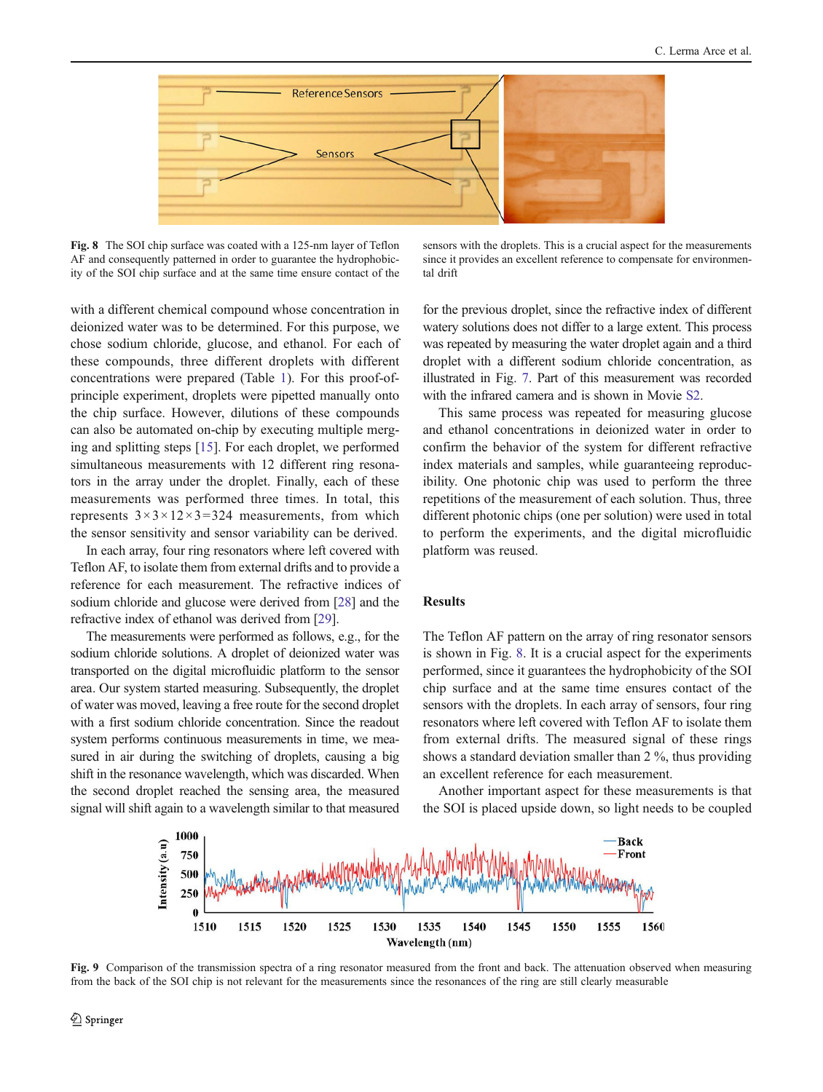<span id="page-5-0"></span>

Fig. 8 The SOI chip surface was coated with a 125-nm layer of Teflon AF and consequently patterned in order to guarantee the hydrophobicity of the SOI chip surface and at the same time ensure contact of the

sensors with the droplets. This is a crucial aspect for the measurements since it provides an excellent reference to compensate for environmental drift

with a different chemical compound whose concentration in deionized water was to be determined. For this purpose, we chose sodium chloride, glucose, and ethanol. For each of these compounds, three different droplets with different concentrations were prepared (Table [1\)](#page-4-0). For this proof-ofprinciple experiment, droplets were pipetted manually onto the chip surface. However, dilutions of these compounds can also be automated on-chip by executing multiple merging and splitting steps [[15\]](#page-7-0). For each droplet, we performed simultaneous measurements with 12 different ring resonators in the array under the droplet. Finally, each of these measurements was performed three times. In total, this represents  $3 \times 3 \times 12 \times 3 = 324$  measurements, from which the sensor sensitivity and sensor variability can be derived.

In each array, four ring resonators where left covered with Teflon AF, to isolate them from external drifts and to provide a reference for each measurement. The refractive indices of sodium chloride and glucose were derived from [[28](#page-7-0)] and the refractive index of ethanol was derived from [\[29](#page-7-0)].

The measurements were performed as follows, e.g., for the sodium chloride solutions. A droplet of deionized water was transported on the digital microfluidic platform to the sensor area. Our system started measuring. Subsequently, the droplet of water was moved, leaving a free route for the second droplet with a first sodium chloride concentration. Since the readout system performs continuous measurements in time, we measured in air during the switching of droplets, causing a big shift in the resonance wavelength, which was discarded. When the second droplet reached the sensing area, the measured signal will shift again to a wavelength similar to that measured

for the previous droplet, since the refractive index of different watery solutions does not differ to a large extent. This process was repeated by measuring the water droplet again and a third droplet with a different sodium chloride concentration, as illustrated in Fig. [7.](#page-4-0) Part of this measurement was recorded with the infrared camera and is shown in Movie S2.

This same process was repeated for measuring glucose and ethanol concentrations in deionized water in order to confirm the behavior of the system for different refractive index materials and samples, while guaranteeing reproducibility. One photonic chip was used to perform the three repetitions of the measurement of each solution. Thus, three different photonic chips (one per solution) were used in total to perform the experiments, and the digital microfluidic platform was reused.

# Results

The Teflon AF pattern on the array of ring resonator sensors is shown in Fig. 8. It is a crucial aspect for the experiments performed, since it guarantees the hydrophobicity of the SOI chip surface and at the same time ensures contact of the sensors with the droplets. In each array of sensors, four ring resonators where left covered with Teflon AF to isolate them from external drifts. The measured signal of these rings shows a standard deviation smaller than 2 %, thus providing an excellent reference for each measurement.

Another important aspect for these measurements is that the SOI is placed upside down, so light needs to be coupled



Fig. 9 Comparison of the transmission spectra of a ring resonator measured from the front and back. The attenuation observed when measuring from the back of the SOI chip is not relevant for the measurements since the resonances of the ring are still clearly measurable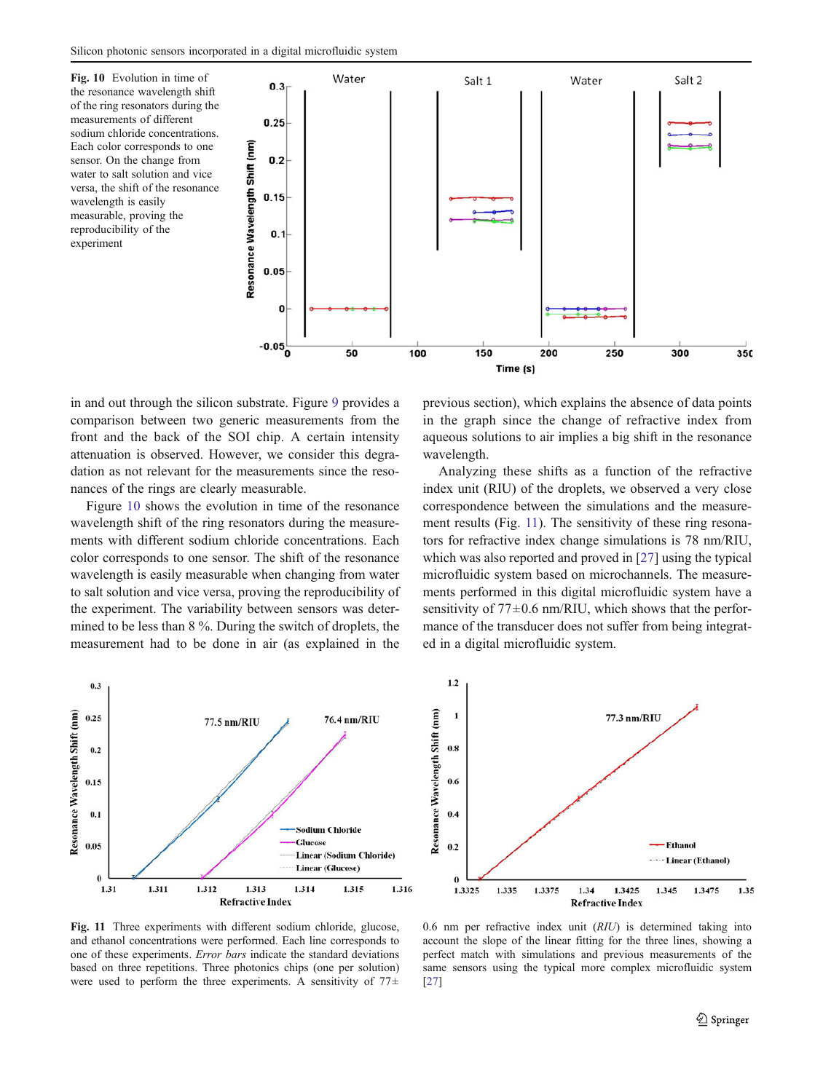Fig. 10 Evolution in time of the resonance wavelength shift of the ring resonators during the measurements of different sodium chloride concentrations. Each color corresponds to one sensor. On the change from water to salt solution and vice versa, the shift of the resonance wavelength is easily measurable, proving the reproducibility of the experiment



in and out through the silicon substrate. Figure [9](#page-5-0) provides a comparison between two generic measurements from the front and the back of the SOI chip. A certain intensity attenuation is observed. However, we consider this degradation as not relevant for the measurements since the resonances of the rings are clearly measurable.

Figure 10 shows the evolution in time of the resonance wavelength shift of the ring resonators during the measurements with different sodium chloride concentrations. Each color corresponds to one sensor. The shift of the resonance wavelength is easily measurable when changing from water to salt solution and vice versa, proving the reproducibility of the experiment. The variability between sensors was determined to be less than 8 %. During the switch of droplets, the measurement had to be done in air (as explained in the



previous section), which explains the absence of data points in the graph since the change of refractive index from aqueous solutions to air implies a big shift in the resonance wavelength.

Analyzing these shifts as a function of the refractive index unit (RIU) of the droplets, we observed a very close correspondence between the simulations and the measurement results (Fig. 11). The sensitivity of these ring resonators for refractive index change simulations is 78 nm/RIU, which was also reported and proved in [[27\]](#page-7-0) using the typical microfluidic system based on microchannels. The measurements performed in this digital microfluidic system have a sensitivity of  $77\pm0.6$  nm/RIU, which shows that the performance of the transducer does not suffer from being integrated in a digital microfluidic system.



Fig. 11 Three experiments with different sodium chloride, glucose, and ethanol concentrations were performed. Each line corresponds to one of these experiments. Error bars indicate the standard deviations based on three repetitions. Three photonics chips (one per solution) were used to perform the three experiments. A sensitivity of  $77\pm$ 

0.6 nm per refractive index unit (RIU) is determined taking into account the slope of the linear fitting for the three lines, showing a perfect match with simulations and previous measurements of the same sensors using the typical more complex microfluidic system [[27](#page-7-0)]